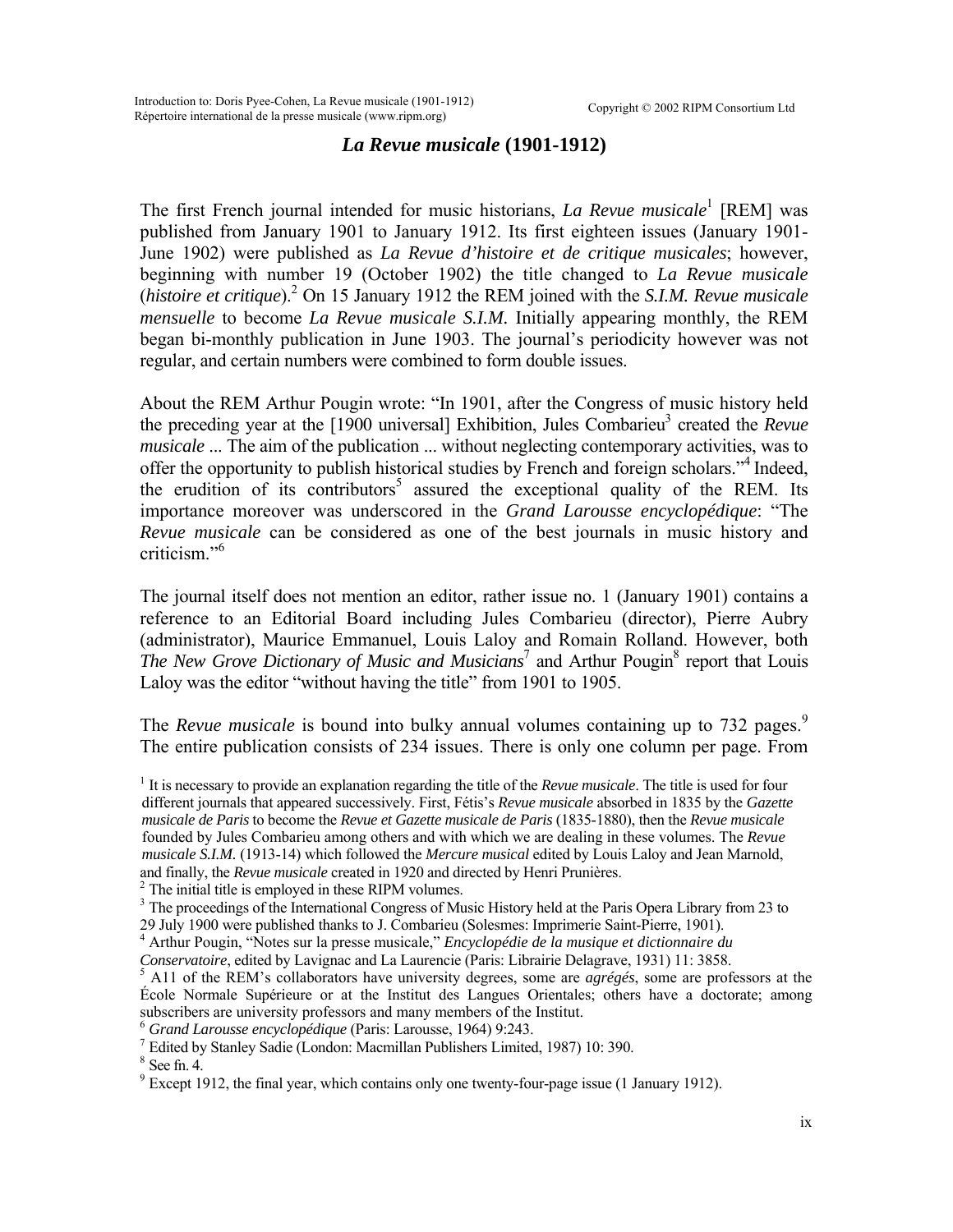## *La Revue musicale* **(1901-1912)**

Thefirst French journal intended for music historians, *La Revue musicale*<sup>1</sup> [REM] was published from January 1901 to January 1912. Its first eighteen issues (January 1901- June 1902) were published as *La Revue d'histoire et de critique musicales*; however, beginning with number 19 (October 1902) the title changed to *La Revue musicale*  (*histoire et critique*).[2](#page-0-1) On 15 January 1912 the REM joined with the *S.I.M. Revue musicale mensuelle* to become *La Revue musicale S.I.M.* Initially appearing monthly, the REM began bi-monthly publication in June 1903. The journal's periodicity however was not regular, and certain numbers were combined to form double issues.

About the REM Arthur Pougin wrote: "In 1901, after the Congress of music history held the preceding year at the [1900 universal] Exhibition, Jules Combarieu<sup>[3](#page-0-2)</sup> created the *Revue musicale* ... The aim of the publication ... without neglecting contemporary activities, was to offer the opportunity to publish historical studies by French and foreign scholars."<sup>[4](#page-0-3)</sup> Indeed, the erudition of its contributors<sup>5</sup> assured the exceptional quality of the REM. Its importance moreover was underscored in the *Grand Larousse encyclopédique*: "The *Revue musicale* can be considered as one of the best journals in music history and criticism."[6](#page-0-5)

The journal itself does not mention an editor, rather issue no. 1 (January 1901) contains a reference to an Editorial Board including Jules Combarieu (director), Pierre Aubry (administrator), Maurice Emmanuel, Louis Laloy and Romain Rolland. However, both *TheNew Grove Dictionary of Music and Musicians*<sup>7</sup> and Arthur Pougin<sup>8</sup> report that Louis Laloy was the editor "without having the title" from 1901 to 1905.

The *Revue musicale* is bound into bulky annual volumes containing up to 732 pages.<sup>[9](#page-0-8)</sup> The entire publication consists of 234 issues. There is only one column per page. From

<span id="page-0-0"></span><sup>1</sup> It is necessary to provide an explanation regarding the title of the *Revue musicale*. The title is used for four different journals that appeared successively. First, Fétis's *Revue musicale* absorbed in 1835 by the *Gazette musicale de Paris* to become the *Revue et Gazette musicale de Paris* (1835-1880), then the *Revue musicale* founded by Jules Combarieu among others and with which we are dealing in these volumes. The *Revue musicale S.I.M.* (1913-14) which followed the *Mercure musical* edited by Louis Laloy and Jean Marnold, and finally, the *Revue musicale* created in 1920 and directed by Henri Prunières. 2

<span id="page-0-1"></span> $2$  The initial title is employed in these RIPM volumes.

<span id="page-0-2"></span><sup>3</sup> The proceedings of the International Congress of Music History held at the Paris Opera Library from 23 to

29 July 1900 were published thanks to J. Combarieu (Solesmes: Imprimerie Saint-Pierre, 1901). 4 Arthur Pougin, "Notes sur la presse musicale," *Encyclopédie de la musique et dictionnaire du*

<span id="page-0-3"></span>

<span id="page-0-4"></span>*Conservatoire*, edited by Lavignac and La Laurencie (Paris: Librairie Delagrave, 1931) 11: 3858.<br><sup>5</sup> A11 of the REM's collaborators have university degrees, some are *agrégés*, some are professors at the École Normale Supérieure or at the Institut des Langues Orientales; others have a doctorate; among subscribers are university professors and many members of the Institut. 6 *Grand Larousse encyclopédique* (Paris: Larousse, 1964) 9:243. 7

<span id="page-0-5"></span>

<span id="page-0-6"></span>Edited by Stanley Sadie (London: Macmillan Publishers Limited, 1987) 10: 390. 8

<span id="page-0-7"></span> $8$  See fn. 4.

<span id="page-0-8"></span> $9^9$  Except 1912, the final year, which contains only one twenty-four-page issue (1 January 1912).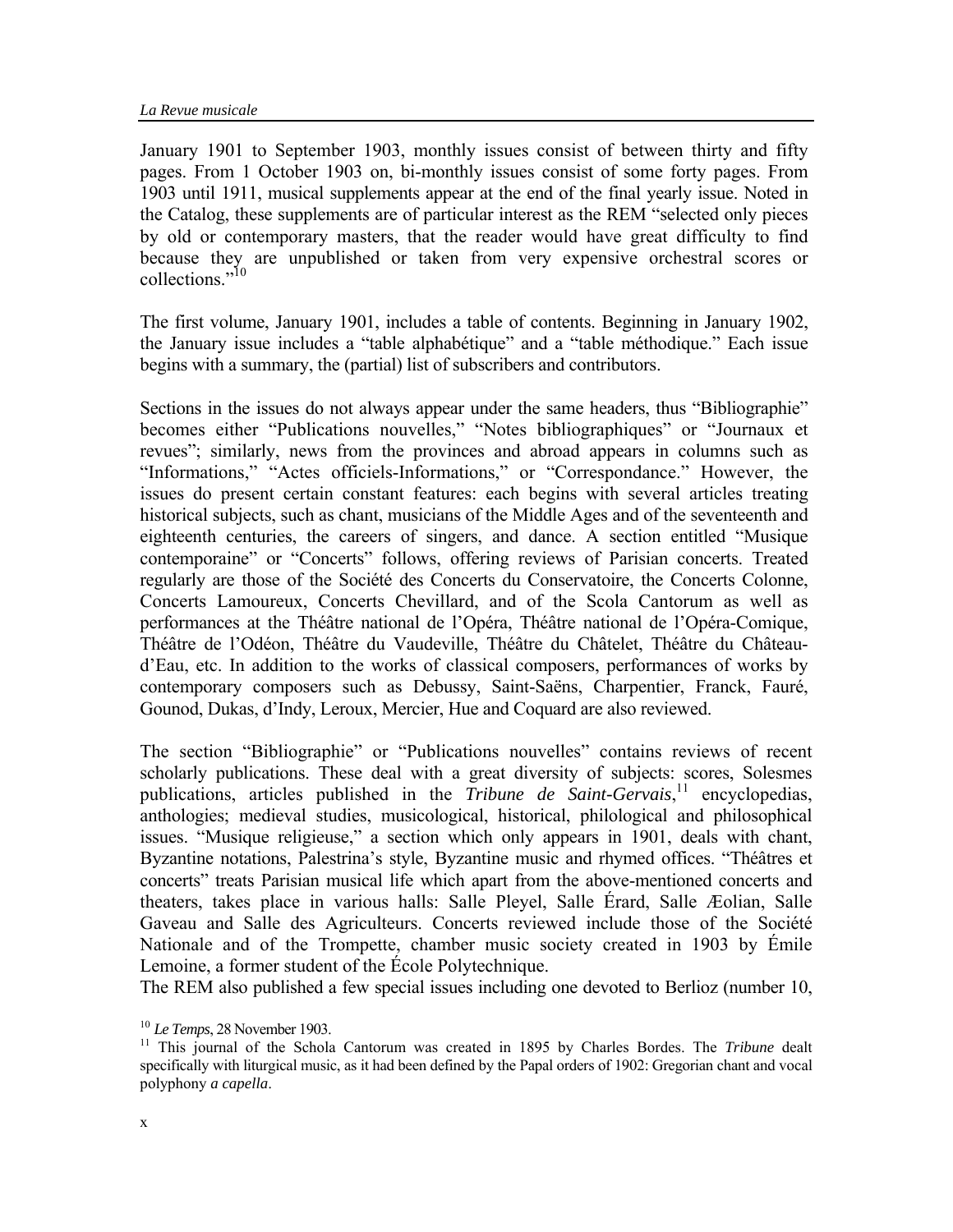January 1901 to September 1903, monthly issues consist of between thirty and fifty pages. From 1 October 1903 on, bi-monthly issues consist of some forty pages. From 1903 until 1911, musical supplements appear at the end of the final yearly issue. Noted in the Catalog, these supplements are of particular interest as the REM "selected only pieces by old or contemporary masters, that the reader would have great difficulty to find because they are unpublished or taken from very expensive orchestral scores or collections.["10](#page-1-0)

The first volume, January 1901, includes a table of contents. Beginning in January 1902, the January issue includes a "table alphabétique" and a "table méthodique." Each issue begins with a summary, the (partial) list of subscribers and contributors.

Sections in the issues do not always appear under the same headers, thus "Bibliographie" becomes either "Publications nouvelles," "Notes bibliographiques" or "Journaux et revues"; similarly, news from the provinces and abroad appears in columns such as "Informations," "Actes officiels-Informations," or "Correspondance." However, the issues do present certain constant features: each begins with several articles treating historical subjects, such as chant, musicians of the Middle Ages and of the seventeenth and eighteenth centuries, the careers of singers, and dance. A section entitled "Musique contemporaine" or "Concerts" follows, offering reviews of Parisian concerts. Treated regularly are those of the Société des Concerts du Conservatoire, the Concerts Colonne, Concerts Lamoureux, Concerts Chevillard, and of the Scola Cantorum as well as performances at the Théâtre national de l'Opéra, Théâtre national de l'Opéra-Comique, Théâtre de l'Odéon, Théâtre du Vaudeville, Théâtre du Châtelet, Théâtre du Châteaud'Eau, etc. In addition to the works of classical composers, performances of works by contemporary composers such as Debussy, Saint-Saëns, Charpentier, Franck, Fauré, Gounod, Dukas, d'Indy, Leroux, Mercier, Hue and Coquard are also reviewed.

The section "Bibliographie" or "Publications nouvelles" contains reviews of recent scholarly publications. These deal with a great diversity of subjects: scores, Solesmes publications, articles published in the *Tribune de Saint-Gervais*,<sup>11</sup> encyclopedias, anthologies; medieval studies, musicological, historical, philological and philosophical issues. "Musique religieuse," a section which only appears in 1901, deals with chant, Byzantine notations, Palestrina's style, Byzantine music and rhymed offices. "Théâtres et concerts" treats Parisian musical life which apart from the above-mentioned concerts and theaters, takes place in various halls: Salle Pleyel, Salle Érard, Salle Æolian, Salle Gaveau and Salle des Agriculteurs. Concerts reviewed include those of the Société Nationale and of the Trompette, chamber music society created in 1903 by Émile Lemoine, a former student of the École Polytechnique.

The REM also published a few special issues including one devoted to Berlioz (number 10,

<span id="page-1-1"></span><span id="page-1-0"></span>

<sup>&</sup>lt;sup>10</sup> *Le Temps*, 28 November 1903.<br><sup>11</sup> This journal of the Schola Cantorum was created in 1895 by Charles Bordes. The *Tribune* dealt specifically with liturgical music, as it had been defined by the Papal orders of 1902: Gregorian chant and vocal polyphony *a capella*.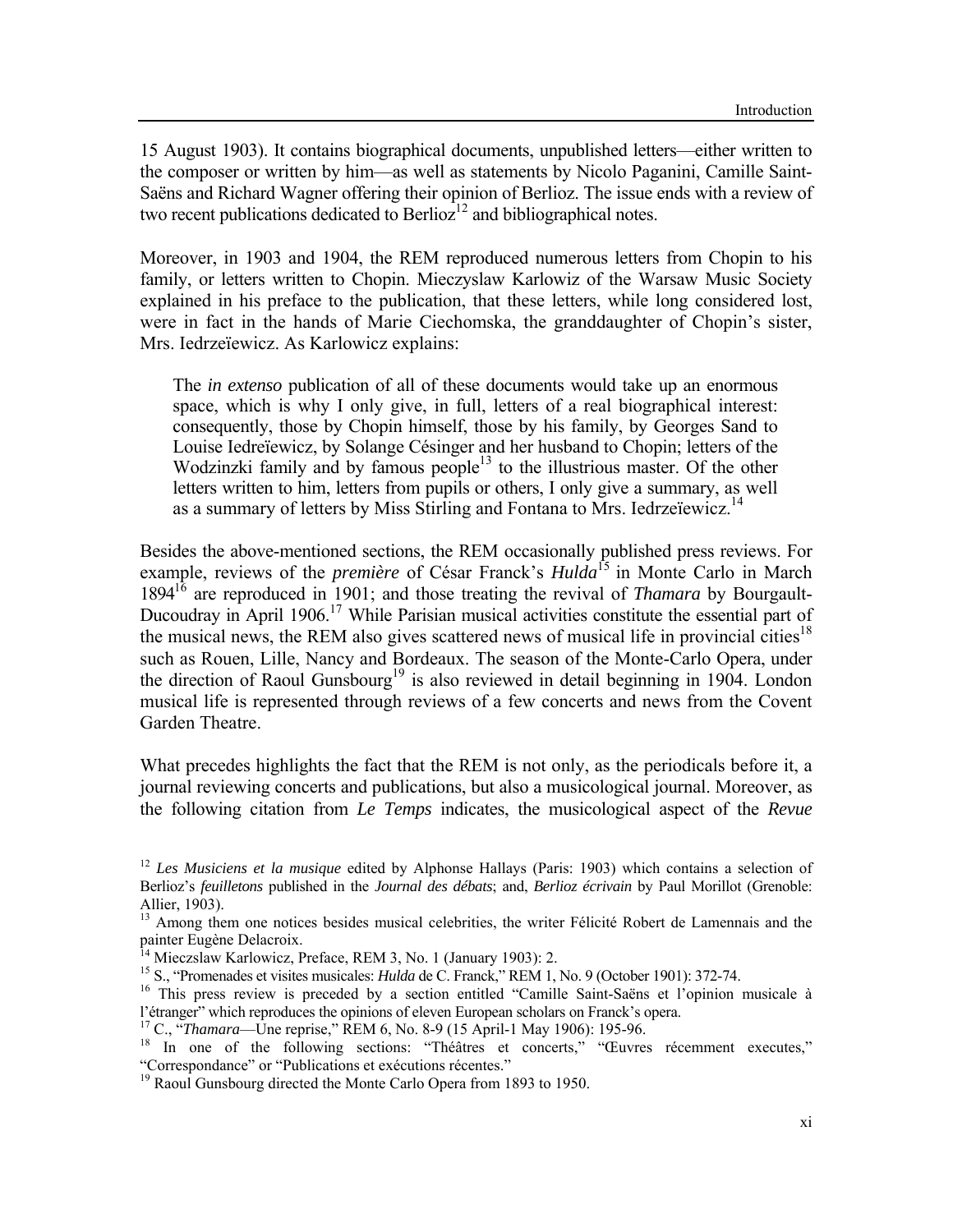15 August 1903). It contains biographical documents, unpublished letters—either written to the composer or written by him—as well as statements by Nicolo Paganini, Camille Saint-Saëns and Richard Wagner offering their opinion of Berlioz. The issue ends with a review of two recent publications dedicated to Berlioz<sup>12</sup> and bibliographical notes.

Moreover, in 1903 and 1904, the REM reproduced numerous letters from Chopin to his family, or letters written to Chopin. Mieczyslaw Karlowiz of the Warsaw Music Society explained in his preface to the publication, that these letters, while long considered lost, were in fact in the hands of Marie Ciechomska, the granddaughter of Chopin's sister, Mrs. Iedrzeïewicz. As Karlowicz explains:

The *in extenso* publication of all of these documents would take up an enormous space, which is why I only give, in full, letters of a real biographical interest: consequently, those by Chopin himself, those by his family, by Georges Sand to Louise Iedreïewicz, by Solange Césinger and her husband to Chopin; letters of the Wodzinzki family and by famous people $13$  to the illustrious master. Of the other letters written to him, letters from pupils [or o](#page-2-1)thers, I only give a summary, as well as a summary of letters by Miss Stirling and Fontana to Mrs. Iedrzeïewicz.<sup>14</sup>

Besides the above-mentioned sections, the REM occasionally published press reviews. For example, reviews of the *première* of César Franck's *Hulda*[15](#page-2-2) in Monte Carlo in March 189[416](#page-2-3) are reproduced in 1901; and those treating the revival of *Thamara* by Bourgault-Ducoudray in April 1906.<sup>17</sup> While Parisian musical activities constitute the essential part of the musical news, the REM also gives scattered news of musical life in provincial cities<sup>18</sup> such as Rouen, Lille, Nancy and Bordeaux. The season of the Monte-Carlo Opera, under the direction of Raoul Gunsbourg<sup>19</sup> is also reviewed in detail beginning in 1904. London musical life is represented through reviews of a few concerts and news from the Covent Garden Theatre.

What precedes highlights the fact that the REM is not only, as the periodicals before it, a journal reviewing concerts and publications, but also a musicological journal. Moreover, as the following citation from *Le Temps* indicates, the musicological aspect of the *Revue* 

<span id="page-2-0"></span><sup>12</sup> *Les Musiciens et la musique* edited by Alphonse Hallays (Paris: 1903) which contains a selection of Berlioz's *feuilletons* published in the *Journal des débats*; and, *Berlioz écrivain* by Paul Morillot (Grenoble: Allier, 1903).

<span id="page-2-1"></span><sup>&</sup>lt;sup>13</sup> Among them one notices besides musical celebrities, the writer Félicité Robert de Lamennais and the painter Eugène Delacroix.<br><sup>14</sup> Mieczslaw Karlowicz, Preface, REM 3, No. 1 (January 1903): 2.

<span id="page-2-3"></span><span id="page-2-2"></span>

<sup>&</sup>lt;sup>15</sup> S., "Promenades et visites musicales: *Hulda* de C. Franck," REM 1, No. 9 (October 1901): 372-74.<br><sup>16</sup> This press review is preceded by a section entitled "Camille Saint-Saëns et l'opinion musicale à l'étranger'' which reproduces the opinions of eleven European scholars on Franck's opera.<br><sup>17</sup> C., "*Thamara*—Une reprise," REM 6, No. 8-9 (15 April-1 May 1906): 195-96.<br><sup>18</sup> In one of the following sections: "Théâtres et

<span id="page-2-4"></span>

<span id="page-2-5"></span><sup>&</sup>quot;Correspondance" or "Publications et exécutions récentes." 19 Raoul Gunsbourg directed the Monte Carlo Opera from 1893 to 1950.

<span id="page-2-6"></span>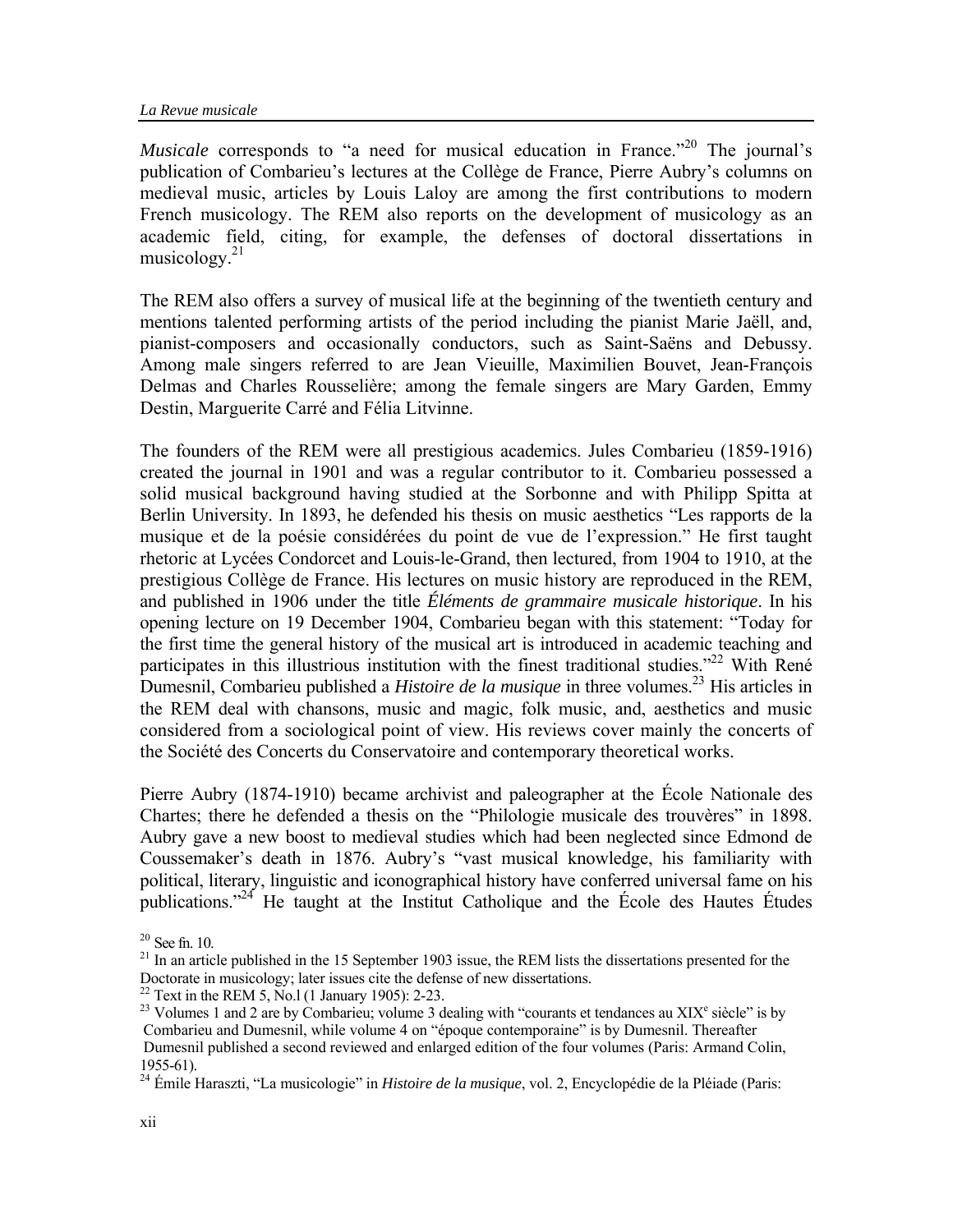*Musicale* corresponds to "a need for musical education in France."<sup>20</sup> The journal's publication of Combarieu's lectures at the Collège de France, Pierre Aubry's columns on medieval music, articles by Louis Laloy are among the first contributions to modern French musicology. The REM also reports on the development of musicology as an academic field, citing, for example, the defenses of doctoral dissertations in musicology. $21$ 

The REM also offers a survey of musical life at the beginning of the twentieth century and mentions talented performing artists of the period including the pianist Marie Jaëll, and, pianist-composers and occasionally conductors, such as Saint-Saëns and Debussy. Among male singers referred to are Jean Vieuille, Maximilien Bouvet, Jean-François Delmas and Charles Rousselière; among the female singers are Mary Garden, Emmy Destin, Marguerite Carré and Félia Litvinne.

The founders of the REM were all prestigious academics. Jules Combarieu (1859-1916) created the journal in 1901 and was a regular contributor to it. Combarieu possessed a solid musical background having studied at the Sorbonne and with Philipp Spitta at Berlin University. In 1893, he defended his thesis on music aesthetics "Les rapports de la musique et de la poésie considérées du point de vue de l'expression." He first taught rhetoric at Lycées Condorcet and Louis-le-Grand, then lectured, from 1904 to 1910, at the prestigious Collège de France. His lectures on music history are reproduced in the REM, and published in 1906 under the title *Éléments de grammaire musicale historique*. In his opening lecture on 19 December 1904, Combarieu began with this statement: "Today for the first time the general history of the musical art is introduced in academic teaching and participates in this illustrious institution with the finest traditional studies."<sup>22</sup> With René Dumesnil, Combarieu published a *Histoire de la musique* in three volumes.<sup>23</sup> His articles in the REM deal with chansons, music and magic, folk music, and, aesthetics and music considered from a sociological point of view. His reviews cover mainly the concerts of the Société des Concerts du Conservatoire and contemporary theoretical works.

Pierre Aubry (1874-1910) became archivist and paleographer at the École Nationale des Chartes; there he defended a thesis on the "Philologie musicale des trouvères" in 1898. Aubry gave a new boost to medieval studies which had been neglected since Edmond de Coussemaker's death in 1876. Aubry's "vast musical knowledge, his familiarity with political, literary, linguistic and iconographical history have conferred universal fame on his publications.["24](#page-3-4) He taught at the Institut Catholique and the École des Hautes Études

<span id="page-3-0"></span> $20$  See fn. 10.

<span id="page-3-1"></span> $^{21}$  In an article published in the 15 September 1903 issue, the REM lists the dissertations presented for the Doctorate in musicology; later issues cite the defense of new dissertations.<br><sup>22</sup> Text in the REM 5, No.1 (1 January 1905): 2-23.

<span id="page-3-3"></span>

<span id="page-3-2"></span><sup>&</sup>lt;sup>22</sup> Text in the REM 5, No.l (1 January 1905): 2-23.<br><sup>23</sup> Volumes 1 and 2 are by Combarieu; volume 3 dealing with "courants et tendances au XIX<sup>e</sup> siècle" is by Combarieu and Dumesnil, while volume 4 on "époque contemporaine" is by Dumesnil. Thereafter Dumesnil published a second reviewed and enlarged edition of the four volumes (Paris: Armand Colin, 1955-61).

<span id="page-3-4"></span><sup>24</sup> Émile Haraszti, "La musicologie" in *Histoire de la musique*, vol. 2, Encyclopédie de la Pléiade (Paris: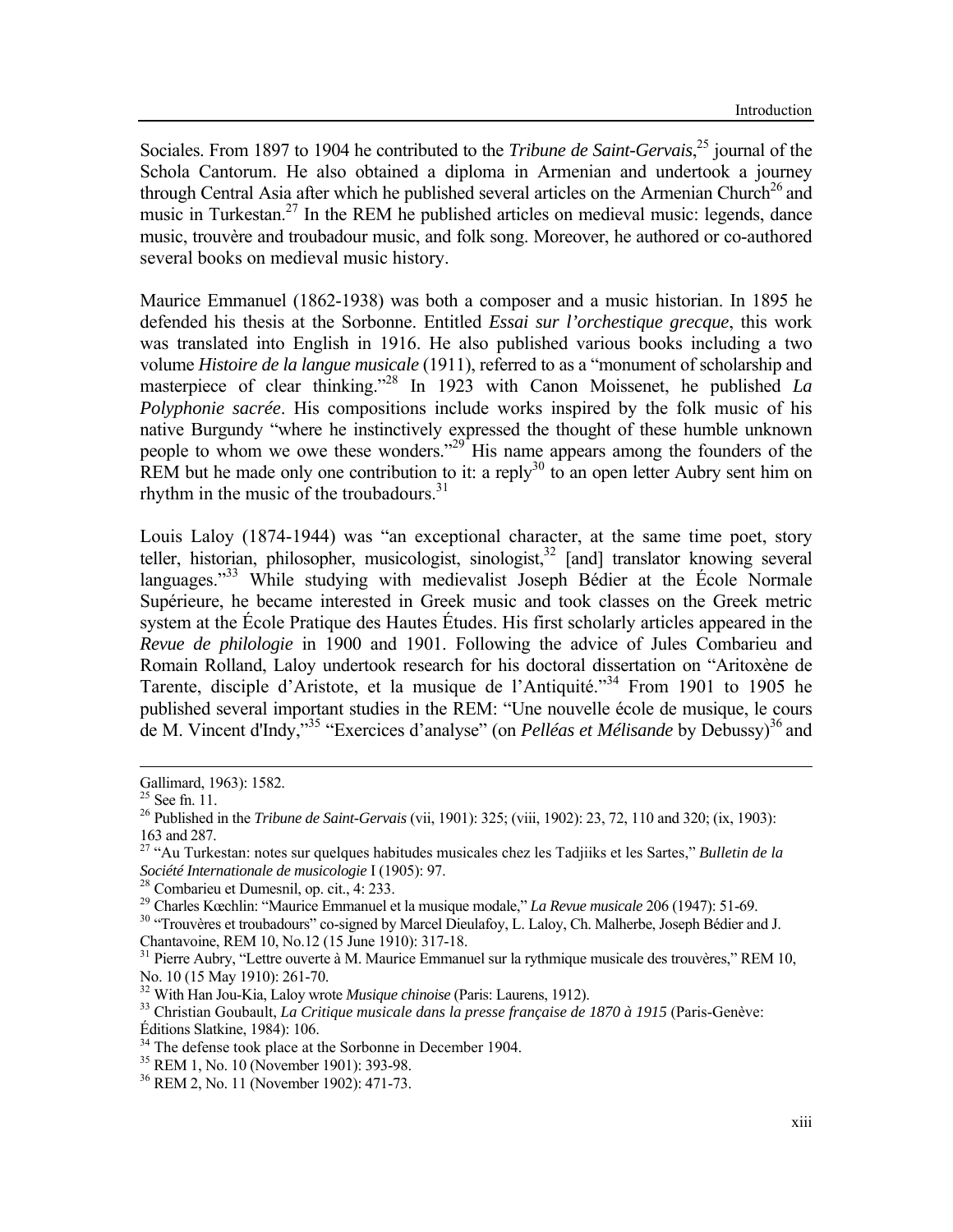Sociales. From 1897 to 1904 he contributed to the *Tribune de Saint-Gervais*, [25](#page-4-0) journal of the Schola Cantorum. He also obtained a diploma in Armenian and undertook a journey through Central Asia after which he published several articles on the Armenian Church<sup>26</sup> and music in Turkestan.<sup>27</sup> In the REM he published articles on medieval music: legends, dance music, trouvère and troubadour music, and folk song. Moreover, he authored or co-authored several books on medieval music history.

Maurice Emmanuel (1862-1938) was both a composer and a music historian. In 1895 he defended his thesis at the Sorbonne. Entitled *Essai sur l'orchestique grecque*, this work was translated into English in 1916. He also published various books including a two volume *Histoire de la langue musicale* (1911), referred to as a "monument of scholarship and masterpiece of clear thinking.["28](#page-4-3) In 1923 with Canon Moissenet, he published *La Polyphonie sacrée*. His compositions include works inspired by the folk music of his native Burgundy "where he instinctively expressed the thought of these humble unknown people to whom we owe these wonders."<sup>29</sup> His name appears among the founders of the REM but he made only one contribution to it: a reply<sup>30</sup> to an open letter Aubry sent him on rhythm in the music of the troubadours.<sup>[31](#page-4-6)</sup>

Louis Laloy (1874-1944) was "an exceptional character, at the same time poet, story teller, historian, philosopher, musicologist, sinologist,  $32$  [and] translator knowing several languages. $133$  While studying with medievalist Joseph Bédier at the École Normale Supérieure, he became interested in Greek music and took classes on the Greek metric system at the École Pratique des Hautes Études. His first scholarly articles appeared in the *Revue de philologie* in 1900 and 1901. Following the advice of Jules Combarieu and Romain Rolland, Laloy undertook research for his doctoral dissertation on "Aritoxène de Tarente, disciple d'Aristote, et la musique de l'Antiquité."[34](#page-4-9) From 1901 to 1905 he published several important studies in the REM: "Une nouvelle école de musique, le cours de M. Vincent d'Indy,"<sup>35</sup> "Exercices d'analyse" (on *Pelléas et Mélisande* by Debussy)<sup>[36](#page-4-11)</sup> and

 $\overline{a}$ 

<span id="page-4-8"></span><sup>33</sup> Christian Goubault, *La Critique musicale dans la presse française de 1870 à 1915* (Paris-Genève: Éditions Slatkine, 1984): 106.

Gallimard, 1963): 1582.

<span id="page-4-0"></span> $25$  See fn. 11.

<span id="page-4-1"></span><sup>26</sup> Published in the *Tribune de Saint-Gervais* (vii, 1901): 325; (viii, 1902): 23, 72, 110 and 320; (ix, 1903): 163 and 287.

<span id="page-4-2"></span><sup>27 &</sup>quot;Au Turkestan: notes sur quelques habitudes musicales chez les Tadjiiks et les Sartes," *Bulletin de la Société Internationale de musicologie* I (1905): 97.<br><sup>28</sup> Combarieu et Dumesnil, op. cit., 4: 233.<br><sup>29</sup> Charles Kœchlin: "Maurice Emmanuel et la musique modale." *La Revue musicale* 206 (1947): 51-69.

<span id="page-4-3"></span>

<span id="page-4-4"></span>

<span id="page-4-5"></span><sup>&</sup>lt;sup>30</sup> "Trouvères et troubadours" co-signed by Marcel Dieulafoy, L. Laloy, Ch. Malherbe, Joseph Bédier and J. Chantavoine, REM 10, No.12 (15 June 1910): 317-18.

<span id="page-4-6"></span>Chantavoine, REM 10, No.12 (15 June 1910): 317-18. 31 Pierre Aubry, "Lettre ouverte à M. Maurice Emmanuel sur la rythmique musicale des trouvères," REM 10, No. 10 (15 May 1910): 261-70.<br>
<sup>32</sup> With Han Jou-Kia, Laloy wrote *Musique chinoise* (Paris: Laurens, 1912).

<span id="page-4-7"></span>

<span id="page-4-9"></span>

 $34$  The defense took place at the Sorbonne in December 1904.<br> $35$  REM 1, No. 10 (November 1901): 393-98.

<span id="page-4-11"></span><span id="page-4-10"></span><sup>36</sup> REM 2, No. 11 (November 1902): 471-73.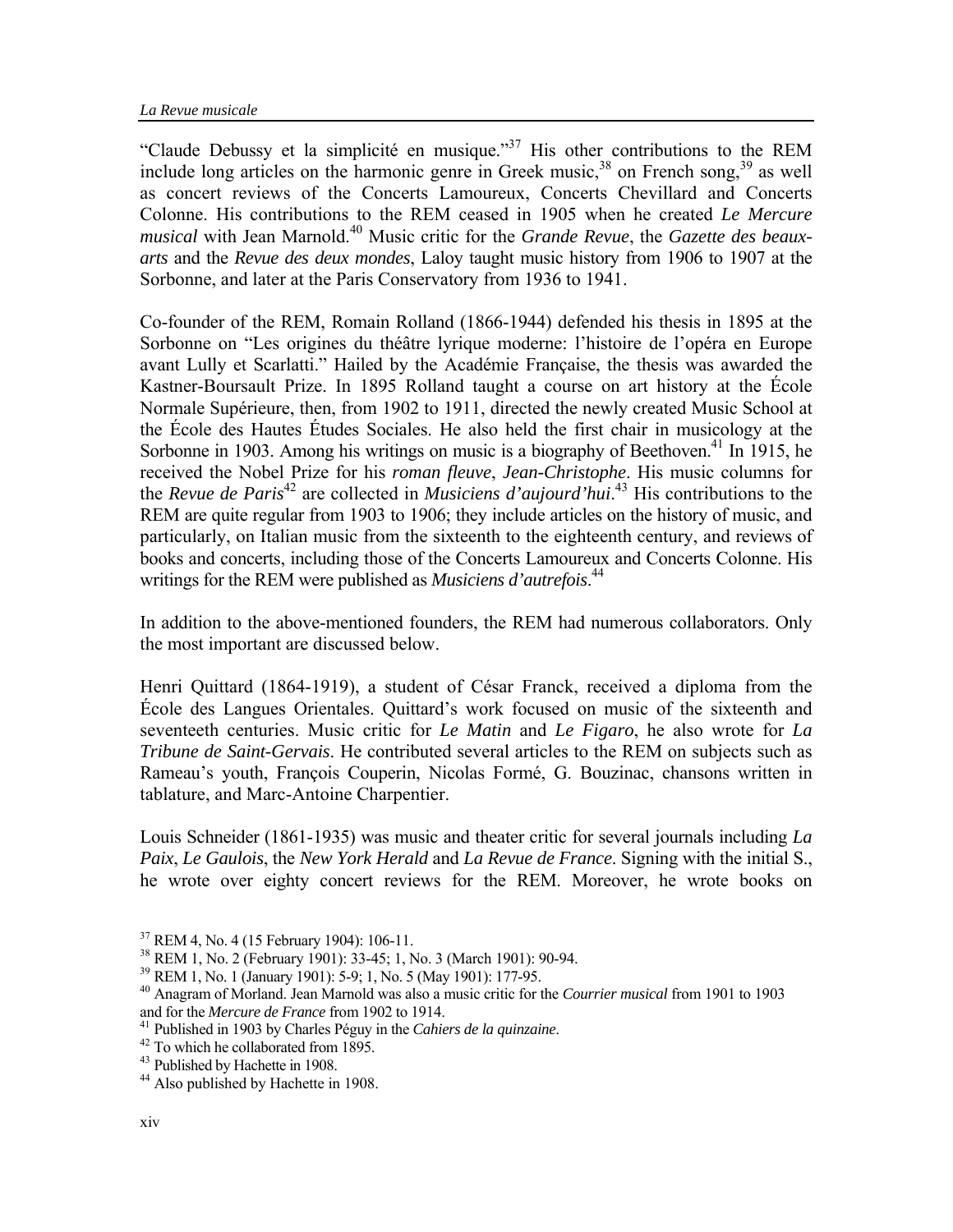"Claude Debussy et la simplicité en musique."[37](#page-5-0) His other contributions to the REM include long articles on the harmonic genre in Greek music,  $38$  on French song,  $39$  as well as concert reviews of the Concerts Lamoureux, Concerts Chevillard and Concerts Colonne. His contributions to the REM ceased in 1905 when he created *Le Mercure musical* with Jean Marnold.[40](#page-5-3) Music critic for the *Grande Revue*, the *Gazette des beauxarts* and the *Revue des deux mondes*, Laloy taught music history from 1906 to 1907 at the Sorbonne, and later at the Paris Conservatory from 1936 to 1941.

Co-founder of the REM, Romain Rolland (1866-1944) defended his thesis in 1895 at the Sorbonne on "Les origines du théâtre lyrique moderne: l'histoire de l'opéra en Europe avant Lully et Scarlatti." Hailed by the Académie Française, the thesis was awarded the Kastner-Boursault Prize. In 1895 Rolland taught a course on art history at the École Normale Supérieure, then, from 1902 to 1911, directed the newly created Music School at the École des Hautes Études Sociales. He also held the first chair in musicology at the Sorbonne in 1903. Among his writings on music is a biography of Beethoven.<sup>41</sup> In 1915, he received the Nobel Prize for his *roman fleuve*, *Jean-Christophe*. His music columns for the *Revue de Paris*<sup>[42](#page-5-5)</sup> are collected in *Musiciens d'aujourd'hui*.<sup>43</sup> His contributions to the REM are quite regular from 1903 to 1906; they include articles on the history of music, and particularly, on Italian music from the sixteenth to the eighteenth century, and reviews of books and concerts, including those of the Concerts Lamoureux and Concerts Colonne. His writings for the REM were published as *Musiciens d'autrefois*. [44](#page-5-7)

In addition to the above-mentioned founders, the REM had numerous collaborators. Only the most important are discussed below.

Henri Quittard (1864-1919), a student of César Franck, received a diploma from the École des Langues Orientales. Quittard's work focused on music of the sixteenth and seventeeth centuries. Music critic for *Le Matin* and *Le Figaro*, he also wrote for *La Tribune de Saint-Gervais*. He contributed several articles to the REM on subjects such as Rameau's youth, François Couperin, Nicolas Formé, G. Bouzinac, chansons written in tablature, and Marc-Antoine Charpentier.

Louis Schneider (1861-1935) was music and theater critic for several journals including *La Paix*, *Le Gaulois*, the *New York Herald* and *La Revue de France*. Signing with the initial S., he wrote over eighty concert reviews for the REM. Moreover, he wrote books on

<span id="page-5-0"></span><sup>37</sup> REM 4, No. 4 (15 February 1904): 106-11.

<span id="page-5-1"></span><sup>&</sup>lt;sup>38</sup> REM 1, No. 2 (February 1901):  $33-45$ ; 1, No. 3 (March 1901): 90-94.<br><sup>39</sup> REM 1, No. 1 (January 1901): 5-9; 1, No. 5 (May 1901): 177-95.

<span id="page-5-2"></span>

<span id="page-5-3"></span><sup>&</sup>lt;sup>40</sup> Anagram of Morland. Jean Marnold was also a music critic for the *Courrier musical* from 1901 to 1903 and for the *Mercure de France* from 1902 to 1914.

<span id="page-5-4"></span><sup>&</sup>lt;sup>41</sup> Published in 1903 by Charles Péguy in the *Cahiers de la quinzaine*. <sup>42</sup> To which he collaborated from 1895.

<span id="page-5-5"></span>

<span id="page-5-6"></span><sup>&</sup>lt;sup>43</sup> Published by Hachette in 1908.

<span id="page-5-7"></span><sup>&</sup>lt;sup>44</sup> Also published by Hachette in 1908.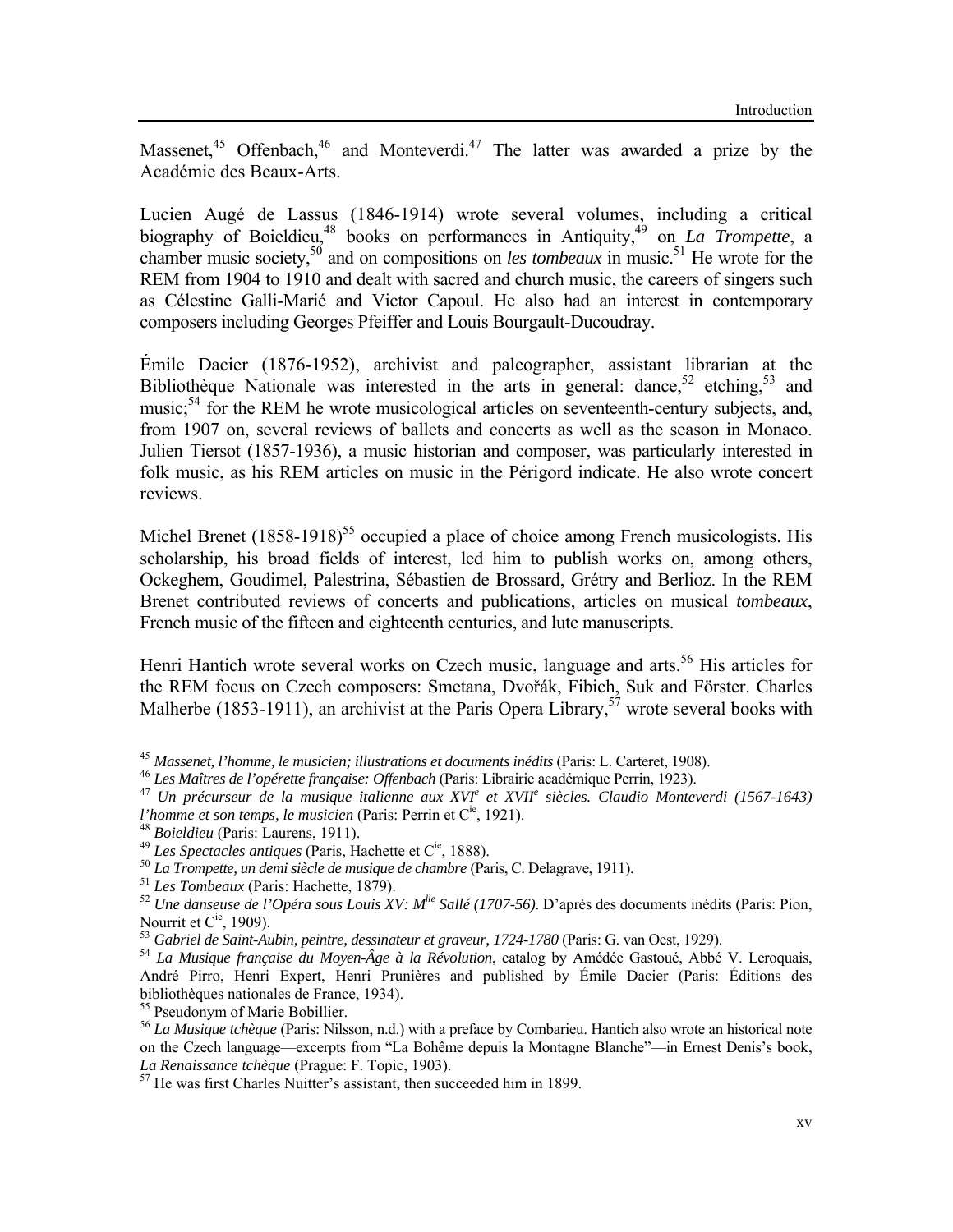Massenet,<sup>45</sup> Offenbach,<sup>46</sup> and Monteverdi.<sup>47</sup> The latter was awarded a prize by the Académie des Beaux-Arts.

Lucien Augé de Lassus (1846-1914) wrote several volumes, including a critical biography of Boieldieu,<sup>48</sup> books on performances in Antiquity,<sup>49</sup> on *La Trompette*, a chamber music society,<sup>50</sup> and on compositions on *les tombeaux* in music.<sup>51</sup> He wrote for the REM from 1904 to 1910 and dealt with sacred and church music, the careers of singers such as Célestine Galli-Marié and Victor Capoul. He also had an interest in contemporary composers including Georges Pfeiffer and Louis Bourgault-Ducoudray.

Émile Dacier (1876-1952), archivist and paleographer, assistant librarian at the Bibliothèque Nationale was interested in the arts in general: dance,  $52$  etching,  $53$  and music;<sup>54</sup> for the REM he wrote musicological articles on seventeenth-century subjects, and, from 1907 on, several reviews of ballets and concerts as well as the season in Monaco. Julien Tiersot (1857-1936), a music historian and composer, was particularly interested in folk music, as his REM articles on music in the Périgord indicate. He also wrote concert reviews.

Michel Brenet  $(1858-1918)^{55}$  occupied a place of choice among French musicologists. His scholarship, his broad fields of interest, led him to publish works on, among others, Ockeghem, Goudimel, Palestrina, Sébastien de Brossard, Grétry and Berlioz. In the REM Brenet contributed reviews of concerts and publications, articles on musical *tombeaux*, French music of the fifteen and eighteenth centuries, and lute manuscripts.

Henri Hantich wrote several works on Czech music, language and arts.<sup>56</sup> His articles for the REM focus on Czech composers: Smetana, Dvořák, Fibich, Suk and Förster. Charles Malherbe (1853-1911), an archivist at the Paris Opera Library,  $5^7$  wrote several books with

<span id="page-6-10"></span>55 Pseudonym of Marie Bobillier.

<span id="page-6-0"></span>

<span id="page-6-2"></span><span id="page-6-1"></span>

<sup>&</sup>lt;sup>45</sup> Massenet, l'homme, le musicien; illustrations et documents inédits (Paris: L. Carteret, 1908).<br><sup>46</sup> Les Maîtres de l'opérette française: Offenbach (Paris: Librairie académique Perrin, 1923).<br><sup>47</sup> Un précurseur de la m l'homme et son temps, le musicien (Paris: Perrin et C<sup>ie</sup>, 1921).<br><sup>48</sup> Boieldieu (Paris: Laurens, 1911).<br><sup>49</sup> Les Spectacles antiques (Paris, Hachette et C<sup>ie</sup>, 1888).<br><sup>50</sup> La Trompette, un demi siècle de musique de chamb

<span id="page-6-3"></span>

<span id="page-6-4"></span>

<span id="page-6-5"></span>

<span id="page-6-6"></span>

<span id="page-6-7"></span>Nourrit et C<sup>ie</sup>, 1909).<br><sup>53</sup> Gabriel de Saint-Aubin, peintre, dessinateur et graveur, 1724-1780 (Paris: G. van Oest, 1929).<br><sup>54</sup> La Musique française du Moyen-Âge à la Révolution, catalog by Amédée Gastoué, Abbé V. Leroqu

<span id="page-6-8"></span>

<span id="page-6-9"></span>André Pirro, Henri Expert, Henri Prunières and published by Émile Dacier (Paris: Éditions des bibliothèques nationales de France, 1934).

<span id="page-6-11"></span><sup>56</sup> *La Musique tchèque* (Paris: Nilsson, n.d.) with a preface by Combarieu. Hantich also wrote an historical note on the Czech language—excerpts from "La Bohême depuis la Montagne Blanche"—in Ernest Denis's book, *La Renaissance tchèque* (Prague: F. Topic, 1903). 57 He was first Charles Nuitter's assistant, then succeeded him in 1899.

<span id="page-6-12"></span>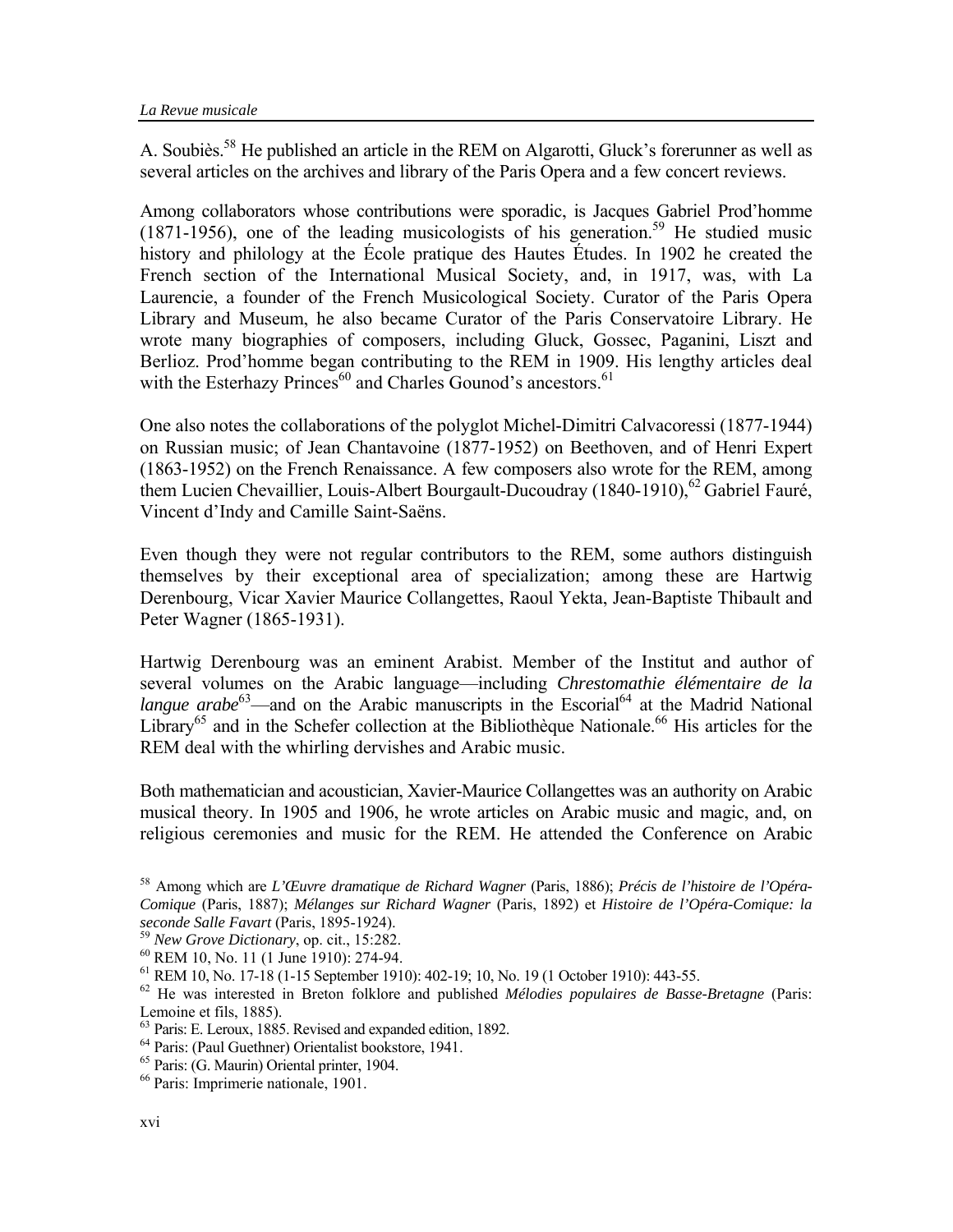A. Soubiès.<sup>58</sup> He published an article in the REM on Algarotti, Gluck's forerunner as well as several articles on the archives and library of the Paris Opera and a few concert reviews.

Among collaborators whose contributions were sporadic, is Jacques Gabriel Prod'homme  $(1871-1956)$ , one of the leading musicologists of his generation.<sup>59</sup> He studied music history and philology at the École pratique des Hautes Études. In 1902 he created the French section of the International Musical Society, and, in 1917, was, with La Laurencie, a founder of the French Musicological Society. Curator of the Paris Opera Library and Museum, he also became Curator of the Paris Conservatoire Library. He wrote many biographies of composers, including Gluck, Gossec, Paganini, Liszt and Berlioz. Prod'homme began contributing to the REM in 1909. His lengthy articles deal with the Esterhazy Princes $60$  and Charles Gounod's ancestors.<sup>[61](#page-7-3)</sup>

One also notes the collaborations of the polyglot Michel-Dimitri Calvacoressi (1877-1944) on Russian music; of Jean Chantavoine (1877-1952) on Beethoven, and of Henri Expert (1863-1952) on the French Renaissance. A few composers also wrote for the REM, among them Lucien Chevaillier, Louis-Albert Bourgault-Ducoudray  $(1840-1910)$ , <sup>[62](#page-7-4)</sup> Gabriel Fauré, Vincent d'Indy and Camille Saint-Saëns.

Even though they were not regular contributors to the REM, some authors distinguish themselves by their exceptional area of specialization; among these are Hartwig Derenbourg, Vicar Xavier Maurice Collangettes, Raoul Yekta, Jean-Baptiste Thibault and Peter Wagner (1865-1931).

Hartwig Derenbourg was an eminent Arabist. Member of the Institut and author of several volumes on the Arabic language—including *Chrestomathie élémentaire de la langue arabe*<sup>63</sup>—and on the Arabic manuscripts in the Escorial<sup>64</sup> at the Madrid National Library<sup>65</sup> and in the Schefer collection at the Bibliothèque Nationale.<sup>66</sup> His articles for the REM deal with the whirling dervishes and Arabic music.

Both mathematician and acoustician, Xavier-Maurice Collangettes was an authority on Arabic musical theory. In 1905 and 1906, he wrote articles on Arabic music and magic, and, on religious ceremonies and music for the REM. He attended the Conference on Arabic

<span id="page-7-0"></span><sup>58</sup> Among which are *L'Œuvre dramatique de Richard Wagner* (Paris, 1886); *Précis de l'histoire de l'Opéra-Comique* (Paris, 1887); *Mélanges sur Richard Wagner* (Paris, 1892) et *Histoire de l'Opéra-Comique: la*  seconde Salle Favart (Paris, 1895-1924).<br><sup>59</sup> New Grove Dictionary, op. cit., 15:282.<br><sup>60</sup> REM 10, No. 11 (1 June 1910): 274-94.<br><sup>61</sup> REM 10, No. 17-18 (1-15 September 1910): 402-19; 10, No. 19 (1 October 1910): 443-55.<br><sup></sup>

<span id="page-7-1"></span>

<span id="page-7-2"></span>

<span id="page-7-3"></span>

<span id="page-7-4"></span>Lemoine et fils, 1885).

<span id="page-7-5"></span><sup>63</sup> Paris: E. Leroux, 1885. Revised and expanded edition, 1892.

<span id="page-7-6"></span><sup>64</sup> Paris: (Paul Guethner) Orientalist bookstore, 1941.

<span id="page-7-7"></span><sup>65</sup> Paris: (G. Maurin) Oriental printer, 1904.

<span id="page-7-8"></span><sup>66</sup> Paris: Imprimerie nationale, 1901.